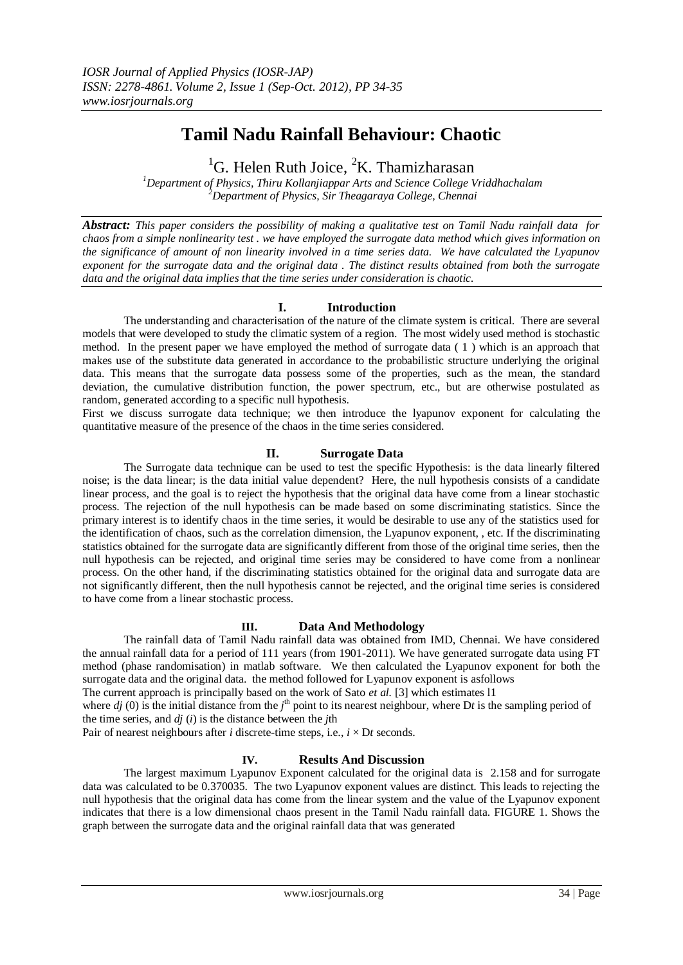# **Tamil Nadu Rainfall Behaviour: Chaotic**

<sup>1</sup>G. Helen Ruth Joice,  ${}^{2}K$ . Thamizharasan

*<sup>1</sup>Department of Physics, Thiru Kollanjiappar Arts and Science College Vriddhachalam <sup>2</sup>Department of Physics, Sir Theagaraya College, Chennai*

*Abstract: This paper considers the possibility of making a qualitative test on Tamil Nadu rainfall data for chaos from a simple nonlinearity test . we have employed the surrogate data method which gives information on the significance of amount of non linearity involved in a time series data. We have calculated the Lyapunov exponent for the surrogate data and the original data . The distinct results obtained from both the surrogate data and the original data implies that the time series under consideration is chaotic.*

## **I. Introduction**

The understanding and characterisation of the nature of the climate system is critical. There are several models that were developed to study the climatic system of a region. The most widely used method is stochastic method. In the present paper we have employed the method of surrogate data ( 1 ) which is an approach that makes use of the substitute data generated in accordance to the probabilistic structure underlying the original data. This means that the surrogate data possess some of the properties, such as the mean, the standard deviation, the cumulative distribution function, the power spectrum, etc., but are otherwise postulated as random, generated according to a specific null hypothesis.

First we discuss surrogate data technique; we then introduce the lyapunov exponent for calculating the quantitative measure of the presence of the chaos in the time series considered.

#### **II. Surrogate Data**

The Surrogate data technique can be used to test the specific Hypothesis: is the data linearly filtered noise; is the data linear; is the data initial value dependent? Here, the null hypothesis consists of a candidate linear process, and the goal is to reject the hypothesis that the original data have come from a linear stochastic process. The rejection of the null hypothesis can be made based on some discriminating statistics. Since the primary interest is to identify chaos in the time series, it would be desirable to use any of the statistics used for the identification of chaos, such as the correlation dimension, the Lyapunov exponent, , etc. If the discriminating statistics obtained for the surrogate data are significantly different from those of the original time series, then the null hypothesis can be rejected, and original time series may be considered to have come from a nonlinear process. On the other hand, if the discriminating statistics obtained for the original data and surrogate data are not significantly different, then the null hypothesis cannot be rejected, and the original time series is considered to have come from a linear stochastic process.

#### **III. Data And Methodology**

The rainfall data of Tamil Nadu rainfall data was obtained from IMD, Chennai. We have considered the annual rainfall data for a period of 111 years (from 1901-2011). We have generated surrogate data using FT method (phase randomisation) in matlab software. We then calculated the Lyapunov exponent for both the surrogate data and the original data. the method followed for Lyapunov exponent is asfollows

The current approach is principally based on the work of Sato *et al.* [3] which estimates l1

where  $dj(0)$  is the initial distance from the  $j<sup>th</sup>$  point to its nearest neighbour, where Dt is the sampling period of the time series, and *dj* (*i*) is the distance between the *j*th

Pair of nearest neighbours after *i* discrete-time steps, i.e.,  $i \times Dt$  seconds.

### **IV. Results And Discussion**

The largest maximum Lyapunov Exponent calculated for the original data is 2.158 and for surrogate data was calculated to be 0.370035. The two Lyapunov exponent values are distinct. This leads to rejecting the null hypothesis that the original data has come from the linear system and the value of the Lyapunov exponent indicates that there is a low dimensional chaos present in the Tamil Nadu rainfall data. FIGURE 1. Shows the graph between the surrogate data and the original rainfall data that was generated